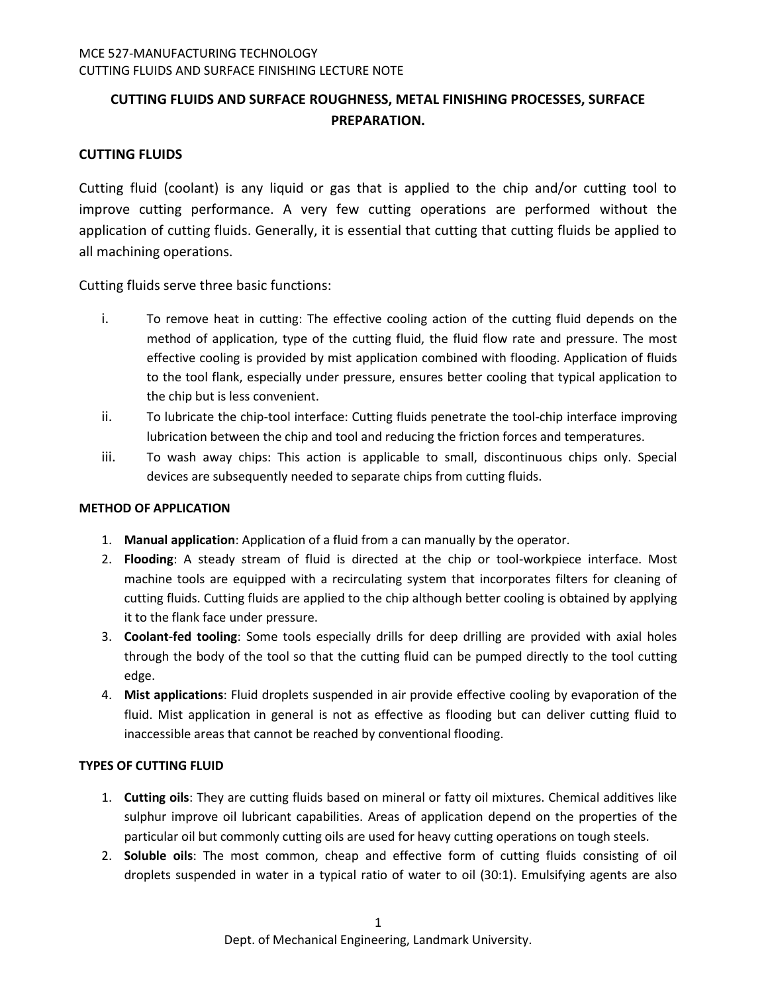# **CUTTING FLUIDS AND SURFACE ROUGHNESS, METAL FINISHING PROCESSES, SURFACE PREPARATION.**

# **CUTTING FLUIDS**

Cutting fluid (coolant) is any liquid or gas that is applied to the chip and/or cutting tool to improve cutting performance. A very few cutting operations are performed without the application of cutting fluids. Generally, it is essential that cutting that cutting fluids be applied to all machining operations.

Cutting fluids serve three basic functions:

- i. To remove heat in cutting: The effective cooling action of the cutting fluid depends on the method of application, type of the cutting fluid, the fluid flow rate and pressure. The most effective cooling is provided by mist application combined with flooding. Application of fluids to the tool flank, especially under pressure, ensures better cooling that typical application to the chip but is less convenient.
- ii. To lubricate the chip-tool interface: Cutting fluids penetrate the tool-chip interface improving lubrication between the chip and tool and reducing the friction forces and temperatures.
- iii. To wash away chips: This action is applicable to small, discontinuous chips only. Special devices are subsequently needed to separate chips from cutting fluids.

### **METHOD OF APPLICATION**

- 1. **Manual application**: Application of a fluid from a can manually by the operator.
- 2. **Flooding**: A steady stream of fluid is directed at the chip or tool-workpiece interface. Most machine tools are equipped with a recirculating system that incorporates filters for cleaning of cutting fluids. Cutting fluids are applied to the chip although better cooling is obtained by applying it to the flank face under pressure.
- 3. **Coolant-fed tooling**: Some tools especially drills for deep drilling are provided with axial holes through the body of the tool so that the cutting fluid can be pumped directly to the tool cutting edge.
- 4. **Mist applications**: Fluid droplets suspended in air provide effective cooling by evaporation of the fluid. Mist application in general is not as effective as flooding but can deliver cutting fluid to inaccessible areas that cannot be reached by conventional flooding.

# **TYPES OF CUTTING FLUID**

- 1. **Cutting oils**: They are cutting fluids based on mineral or fatty oil mixtures. Chemical additives like sulphur improve oil lubricant capabilities. Areas of application depend on the properties of the particular oil but commonly cutting oils are used for heavy cutting operations on tough steels.
- 2. **Soluble oils**: The most common, cheap and effective form of cutting fluids consisting of oil droplets suspended in water in a typical ratio of water to oil (30:1). Emulsifying agents are also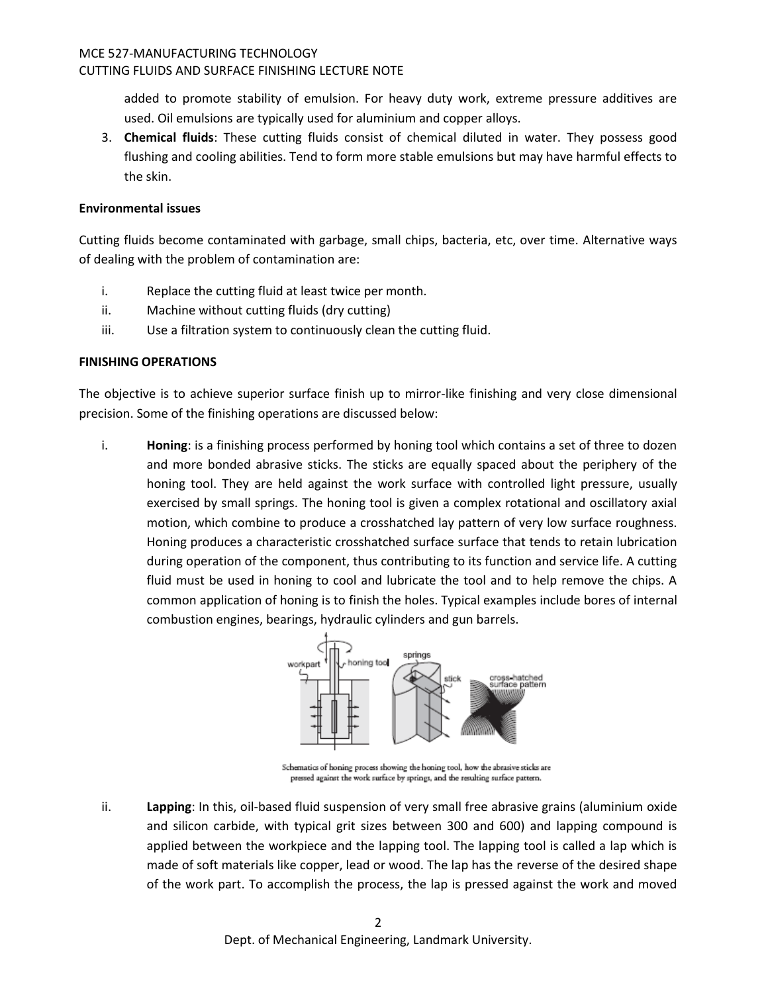#### MCE 527-MANUFACTURING TECHNOLOGY CUTTING FLUIDS AND SURFACE FINISHING LECTURE NOTE

added to promote stability of emulsion. For heavy duty work, extreme pressure additives are used. Oil emulsions are typically used for aluminium and copper alloys.

3. **Chemical fluids**: These cutting fluids consist of chemical diluted in water. They possess good flushing and cooling abilities. Tend to form more stable emulsions but may have harmful effects to the skin.

## **Environmental issues**

Cutting fluids become contaminated with garbage, small chips, bacteria, etc, over time. Alternative ways of dealing with the problem of contamination are:

- i. Replace the cutting fluid at least twice per month.
- ii. Machine without cutting fluids (dry cutting)
- iii. Use a filtration system to continuously clean the cutting fluid.

# **FINISHING OPERATIONS**

The objective is to achieve superior surface finish up to mirror-like finishing and very close dimensional precision. Some of the finishing operations are discussed below:

i. **Honing**: is a finishing process performed by honing tool which contains a set of three to dozen and more bonded abrasive sticks. The sticks are equally spaced about the periphery of the honing tool. They are held against the work surface with controlled light pressure, usually exercised by small springs. The honing tool is given a complex rotational and oscillatory axial motion, which combine to produce a crosshatched lay pattern of very low surface roughness. Honing produces a characteristic crosshatched surface surface that tends to retain lubrication during operation of the component, thus contributing to its function and service life. A cutting fluid must be used in honing to cool and lubricate the tool and to help remove the chips. A common application of honing is to finish the holes. Typical examples include bores of internal combustion engines, bearings, hydraulic cylinders and gun barrels.



Schematics of honing process showing the honing tool, how the abrasive sticks are pressed against the work surface by springs, and the resulting surface pattern.

ii. **Lapping**: In this, oil-based fluid suspension of very small free abrasive grains (aluminium oxide and silicon carbide, with typical grit sizes between 300 and 600) and lapping compound is applied between the workpiece and the lapping tool. The lapping tool is called a lap which is made of soft materials like copper, lead or wood. The lap has the reverse of the desired shape of the work part. To accomplish the process, the lap is pressed against the work and moved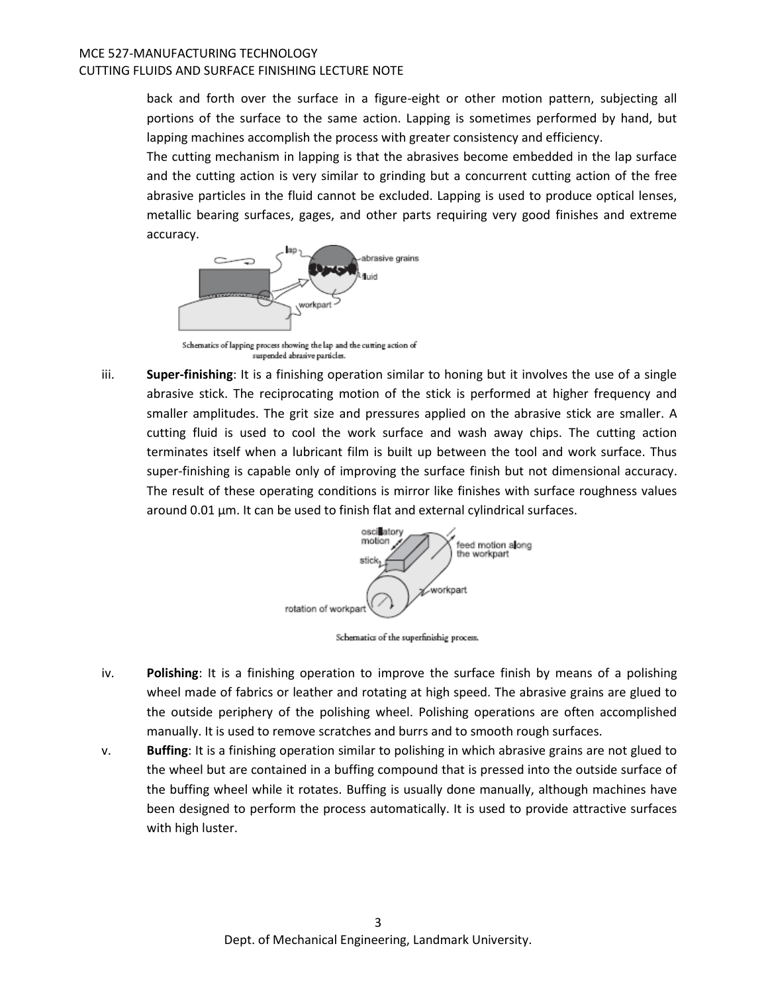back and forth over the surface in a figure-eight or other motion pattern, subjecting all portions of the surface to the same action. Lapping is sometimes performed by hand, but lapping machines accomplish the process with greater consistency and efficiency.

The cutting mechanism in lapping is that the abrasives become embedded in the lap surface and the cutting action is very similar to grinding but a concurrent cutting action of the free abrasive particles in the fluid cannot be excluded. Lapping is used to produce optical lenses, metallic bearing surfaces, gages, and other parts requiring very good finishes and extreme accuracy.



Schematics of lapping process showing the lap and the cutting action of suspended abrasive particles.

iii. **Super-finishing**: It is a finishing operation similar to honing but it involves the use of a single abrasive stick. The reciprocating motion of the stick is performed at higher frequency and smaller amplitudes. The grit size and pressures applied on the abrasive stick are smaller. A cutting fluid is used to cool the work surface and wash away chips. The cutting action terminates itself when a lubricant film is built up between the tool and work surface. Thus super-finishing is capable only of improving the surface finish but not dimensional accuracy. The result of these operating conditions is mirror like finishes with surface roughness values around 0.01 μm. It can be used to finish flat and external cylindrical surfaces.



Schematics of the superfinishig process.

- iv. **Polishing**: It is a finishing operation to improve the surface finish by means of a polishing wheel made of fabrics or leather and rotating at high speed. The abrasive grains are glued to the outside periphery of the polishing wheel. Polishing operations are often accomplished manually. It is used to remove scratches and burrs and to smooth rough surfaces.
- v. **Buffing**: It is a finishing operation similar to polishing in which abrasive grains are not glued to the wheel but are contained in a buffing compound that is pressed into the outside surface of the buffing wheel while it rotates. Buffing is usually done manually, although machines have been designed to perform the process automatically. It is used to provide attractive surfaces with high luster.